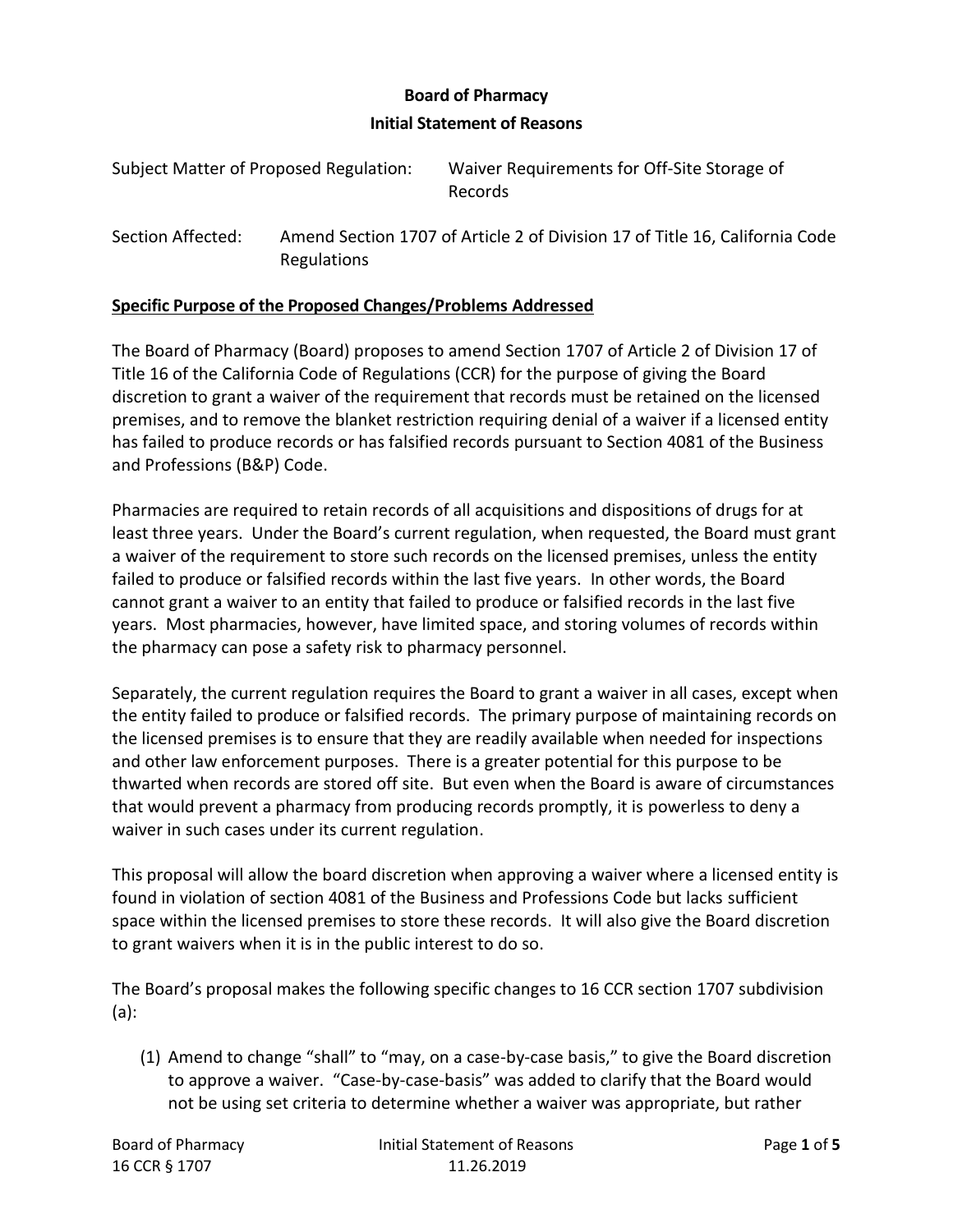### **Board of Pharmacy**

#### **Initial Statement of Reasons**

| Subject Matter of Proposed Regulation: | Waiver Requirements for Off-Site Storage of<br><b>Records</b>               |
|----------------------------------------|-----------------------------------------------------------------------------|
| Section Affected:                      | Amend Section 1707 of Article 2 of Division 17 of Title 16, California Code |

## **Specific Purpose of the Proposed Changes/Problems Addressed**

Regulations

The Board of Pharmacy (Board) proposes to amend Section 1707 of Article 2 of Division 17 of Title 16 of the California Code of Regulations (CCR) for the purpose of giving the Board discretion to grant a waiver of the requirement that records must be retained on the licensed premises, and to remove the blanket restriction requiring denial of a waiver if a licensed entity has failed to produce records or has falsified records pursuant to Section 4081 of the Business and Professions (B&P) Code.

Pharmacies are required to retain records of all acquisitions and dispositions of drugs for at least three years. Under the Board's current regulation, when requested, the Board must grant a waiver of the requirement to store such records on the licensed premises, unless the entity failed to produce or falsified records within the last five years. In other words, the Board cannot grant a waiver to an entity that failed to produce or falsified records in the last five years. Most pharmacies, however, have limited space, and storing volumes of records within the pharmacy can pose a safety risk to pharmacy personnel.

Separately, the current regulation requires the Board to grant a waiver in all cases, except when the entity failed to produce or falsified records. The primary purpose of maintaining records on the licensed premises is to ensure that they are readily available when needed for inspections and other law enforcement purposes. There is a greater potential for this purpose to be thwarted when records are stored off site. But even when the Board is aware of circumstances that would prevent a pharmacy from producing records promptly, it is powerless to deny a waiver in such cases under its current regulation.

This proposal will allow the board discretion when approving a waiver where a licensed entity is found in violation of section 4081 of the Business and Professions Code but lacks sufficient space within the licensed premises to store these records. It will also give the Board discretion to grant waivers when it is in the public interest to do so.

The Board's proposal makes the following specific changes to 16 CCR section 1707 subdivision (a):

(1) Amend to change "shall" to "may, on a case-by-case basis," to give the Board discretion to approve a waiver. "Case-by-case-basis" was added to clarify that the Board would not be using set criteria to determine whether a waiver was appropriate, but rather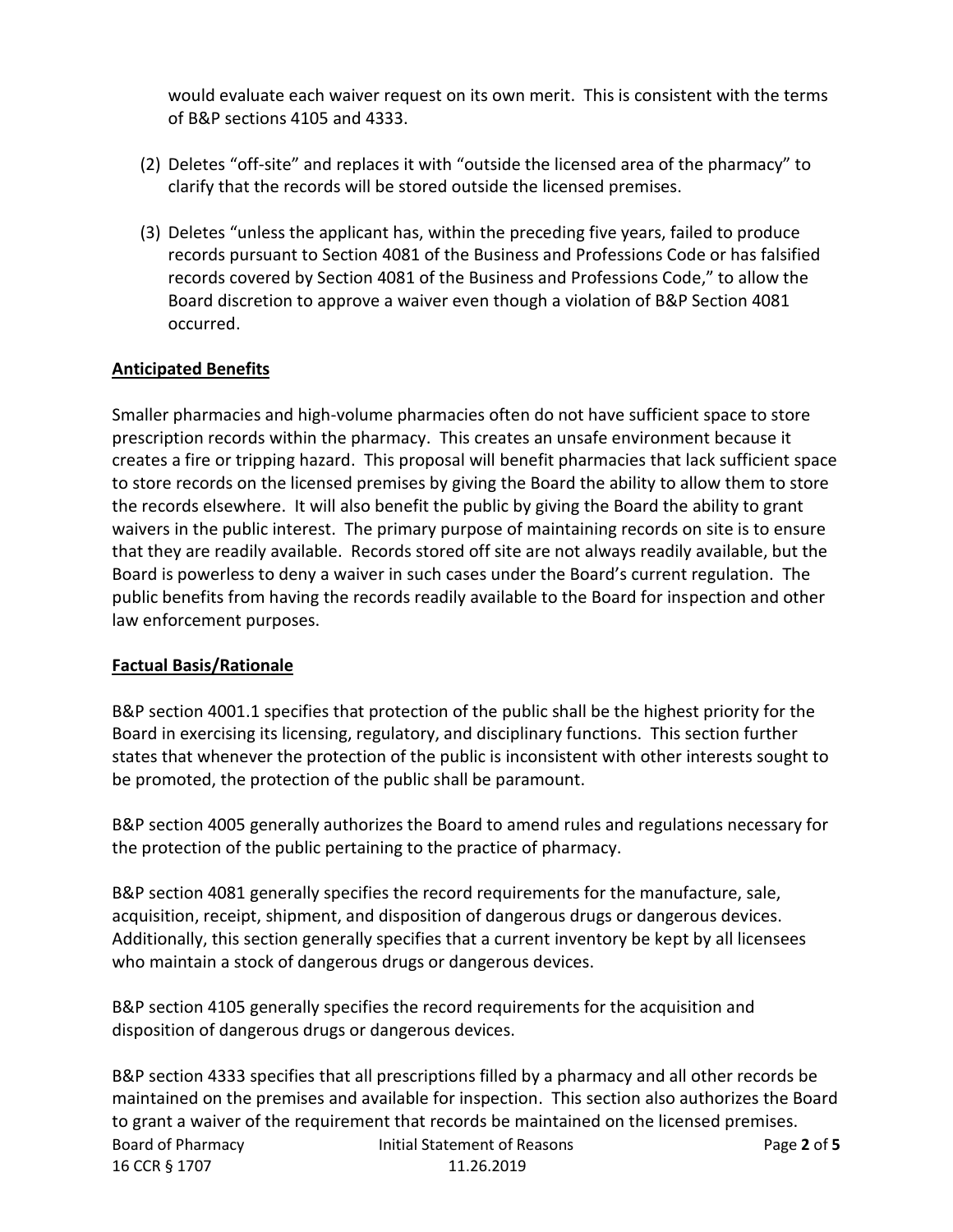would evaluate each waiver request on its own merit. This is consistent with the terms of B&P sections 4105 and 4333.

- (2) Deletes "off-site" and replaces it with "outside the licensed area of the pharmacy" to clarify that the records will be stored outside the licensed premises.
- (3) Deletes "unless the applicant has, within the preceding five years, failed to produce records pursuant to Section 4081 of the Business and Professions Code or has falsified records covered by Section 4081 of the Business and Professions Code," to allow the Board discretion to approve a waiver even though a violation of B&P Section 4081 occurred.

## **Anticipated Benefits**

Smaller pharmacies and high-volume pharmacies often do not have sufficient space to store prescription records within the pharmacy. This creates an unsafe environment because it creates a fire or tripping hazard. This proposal will benefit pharmacies that lack sufficient space to store records on the licensed premises by giving the Board the ability to allow them to store the records elsewhere. It will also benefit the public by giving the Board the ability to grant waivers in the public interest. The primary purpose of maintaining records on site is to ensure that they are readily available. Records stored off site are not always readily available, but the Board is powerless to deny a waiver in such cases under the Board's current regulation. The public benefits from having the records readily available to the Board for inspection and other law enforcement purposes.

### **Factual Basis/Rationale**

B&P section 4001.1 specifies that protection of the public shall be the highest priority for the Board in exercising its licensing, regulatory, and disciplinary functions. This section further states that whenever the protection of the public is inconsistent with other interests sought to be promoted, the protection of the public shall be paramount.

B&P section 4005 generally authorizes the Board to amend rules and regulations necessary for the protection of the public pertaining to the practice of pharmacy.

B&P section 4081 generally specifies the record requirements for the manufacture, sale, acquisition, receipt, shipment, and disposition of dangerous drugs or dangerous devices. Additionally, this section generally specifies that a current inventory be kept by all licensees who maintain a stock of dangerous drugs or dangerous devices.

B&P section 4105 generally specifies the record requirements for the acquisition and disposition of dangerous drugs or dangerous devices.

Board of Pharmacy Initial Statement of Reasons Page **2** of **5** 16 CCR § 1707 11.26.2019 B&P section 4333 specifies that all prescriptions filled by a pharmacy and all other records be maintained on the premises and available for inspection. This section also authorizes the Board to grant a waiver of the requirement that records be maintained on the licensed premises.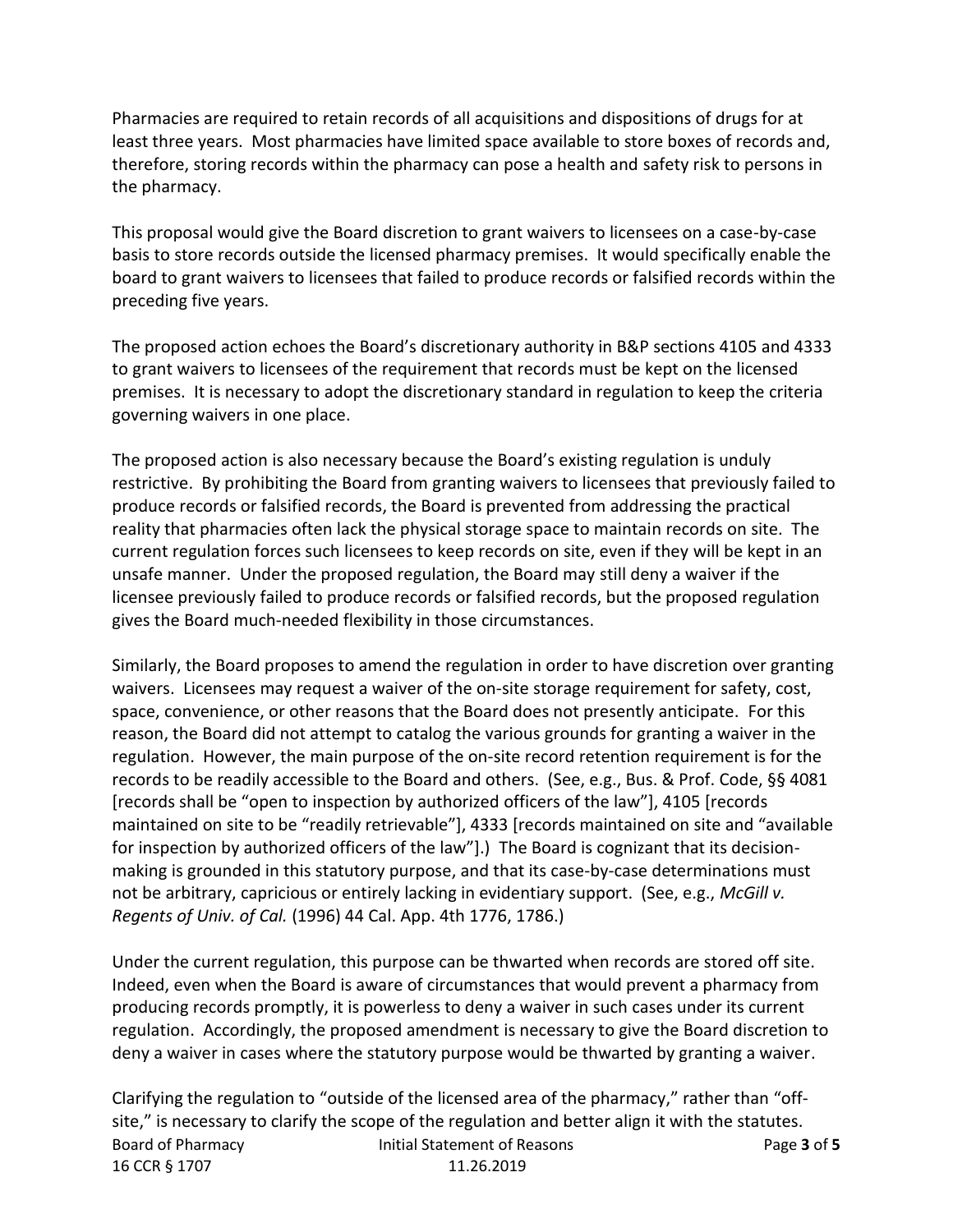Pharmacies are required to retain records of all acquisitions and dispositions of drugs for at least three years. Most pharmacies have limited space available to store boxes of records and, therefore, storing records within the pharmacy can pose a health and safety risk to persons in the pharmacy.

This proposal would give the Board discretion to grant waivers to licensees on a case-by-case basis to store records outside the licensed pharmacy premises. It would specifically enable the board to grant waivers to licensees that failed to produce records or falsified records within the preceding five years.

The proposed action echoes the Board's discretionary authority in B&P sections 4105 and 4333 to grant waivers to licensees of the requirement that records must be kept on the licensed premises. It is necessary to adopt the discretionary standard in regulation to keep the criteria governing waivers in one place.

The proposed action is also necessary because the Board's existing regulation is unduly restrictive. By prohibiting the Board from granting waivers to licensees that previously failed to produce records or falsified records, the Board is prevented from addressing the practical reality that pharmacies often lack the physical storage space to maintain records on site. The current regulation forces such licensees to keep records on site, even if they will be kept in an unsafe manner. Under the proposed regulation, the Board may still deny a waiver if the licensee previously failed to produce records or falsified records, but the proposed regulation gives the Board much-needed flexibility in those circumstances.

Similarly, the Board proposes to amend the regulation in order to have discretion over granting waivers. Licensees may request a waiver of the on-site storage requirement for safety, cost, space, convenience, or other reasons that the Board does not presently anticipate. For this reason, the Board did not attempt to catalog the various grounds for granting a waiver in the regulation. However, the main purpose of the on-site record retention requirement is for the records to be readily accessible to the Board and others. (See, e.g., Bus. & Prof. Code, §§ 4081 [records shall be "open to inspection by authorized officers of the law"], 4105 [records maintained on site to be "readily retrievable"], 4333 [records maintained on site and "available for inspection by authorized officers of the law"].) The Board is cognizant that its decisionmaking is grounded in this statutory purpose, and that its case-by-case determinations must not be arbitrary, capricious or entirely lacking in evidentiary support. (See, e.g., *McGill v. Regents of Univ. of Cal.* (1996) 44 Cal. App. 4th 1776, 1786.)

Under the current regulation, this purpose can be thwarted when records are stored off site. Indeed, even when the Board is aware of circumstances that would prevent a pharmacy from producing records promptly, it is powerless to deny a waiver in such cases under its current regulation. Accordingly, the proposed amendment is necessary to give the Board discretion to deny a waiver in cases where the statutory purpose would be thwarted by granting a waiver.

Board of Pharmacy Initial Statement of Reasons Page **3** of **5** 16 CCR § 1707 11.26.2019 Clarifying the regulation to "outside of the licensed area of the pharmacy," rather than "offsite," is necessary to clarify the scope of the regulation and better align it with the statutes.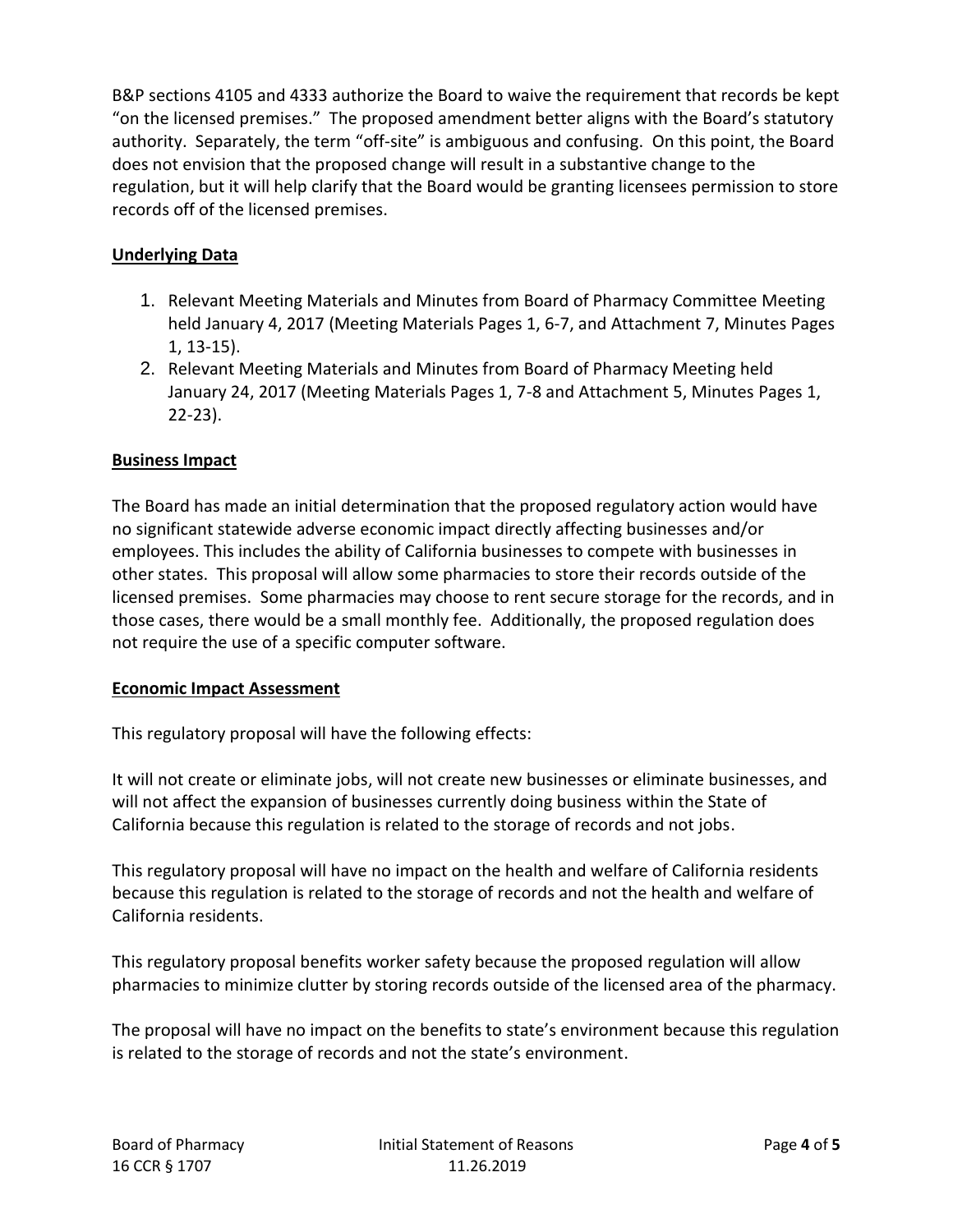B&P sections 4105 and 4333 authorize the Board to waive the requirement that records be kept "on the licensed premises." The proposed amendment better aligns with the Board's statutory authority. Separately, the term "off-site" is ambiguous and confusing. On this point, the Board does not envision that the proposed change will result in a substantive change to the regulation, but it will help clarify that the Board would be granting licensees permission to store records off of the licensed premises.

# **Underlying Data**

- 1. Relevant Meeting Materials and Minutes from Board of Pharmacy Committee Meeting held January 4, 2017 (Meeting Materials Pages 1, 6-7, and Attachment 7, Minutes Pages 1, 13-15).
- 2. Relevant Meeting Materials and Minutes from Board of Pharmacy Meeting held January 24, 2017 (Meeting Materials Pages 1, 7-8 and Attachment 5, Minutes Pages 1, 22-23).

# **Business Impact**

The Board has made an initial determination that the proposed regulatory action would have no significant statewide adverse economic impact directly affecting businesses and/or employees. This includes the ability of California businesses to compete with businesses in other states. This proposal will allow some pharmacies to store their records outside of the licensed premises. Some pharmacies may choose to rent secure storage for the records, and in those cases, there would be a small monthly fee. Additionally, the proposed regulation does not require the use of a specific computer software.

## **Economic Impact Assessment**

This regulatory proposal will have the following effects:

It will not create or eliminate jobs, will not create new businesses or eliminate businesses, and will not affect the expansion of businesses currently doing business within the State of California because this regulation is related to the storage of records and not jobs.

This regulatory proposal will have no impact on the health and welfare of California residents because this regulation is related to the storage of records and not the health and welfare of California residents.

This regulatory proposal benefits worker safety because the proposed regulation will allow pharmacies to minimize clutter by storing records outside of the licensed area of the pharmacy.

The proposal will have no impact on the benefits to state's environment because this regulation is related to the storage of records and not the state's environment.